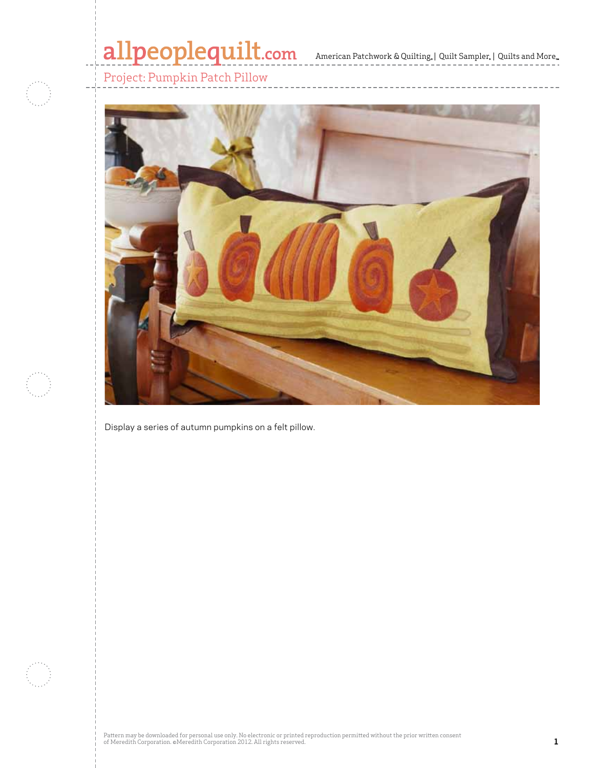## allpeoplequilt.com<br>american Patchwork & Quilting, | Quilt Sampler, | Quilts and More...

Project: Pumpkin Patch Pillow



Display a series of autumn pumpkins on a felt pillow.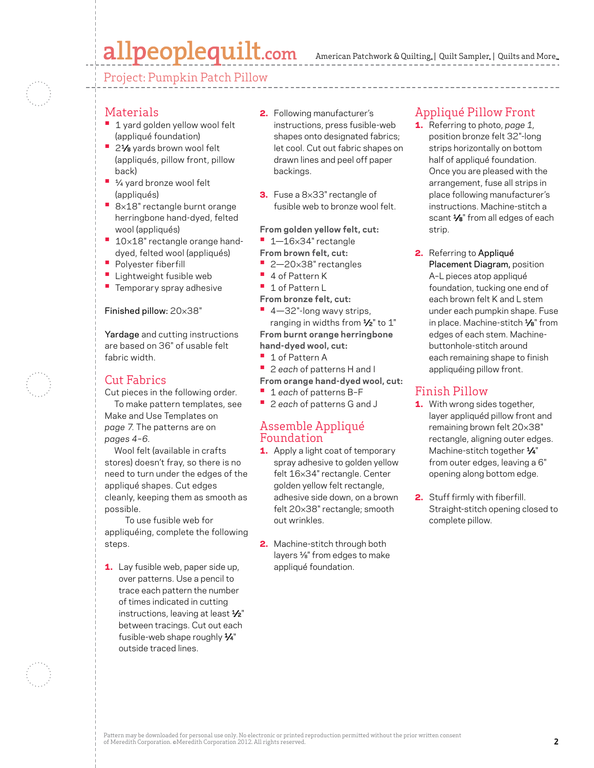## allpeoplequilt.com

American Patchwork & Quilting,  $|$  Quilt Sampler,  $|$  Quilts and More,

Project: Pumpkin Patch Pillow

### Materials

- **1 yard golden yellow wool felt** (appliqué foundation)
- **•**  21⁄8 yards brown wool felt (appliqués, pillow front, pillow back)
- **•**  ¼ yard bronze wool felt (appliqués)
- **•**  <sup>8</sup>×18" rectangle burnt orange herringbone hand-dyed, felted wool (appliqués)
- **10×18"** rectangle orange handdyed, felted wool (appliqués)
- **•**  Polyester fiberfill
- **•**  Lightweight fusible web
- **•** Temporary spray adhesive

### Finished pillow: 20×38"

Yardage and cutting instructions are based on 36" of usable felt fabric width.

## Cut Fabrics

Cut pieces in the following order. To make pattern templates, see

Make and Use Templates on *page 7.* The patterns are on *pages 4–6.*

Wool felt (available in crafts stores) doesn't fray, so there is no need to turn under the edges of the appliqué shapes. Cut edges cleanly, keeping them as smooth as possible.

 To use fusible web for appliquéing, complete the following steps.

1. Lay fusible web, paper side up, over patterns. Use a pencil to trace each pattern the number of times indicated in cutting instructions, leaving at least  $\frac{1}{2}$ " between tracings. Cut out each fusible-web shape roughly  $\frac{1}{4}$ " outside traced lines.

- 2. Following manufacturer's instructions, press fusible-web shapes onto designated fabrics; let cool. Cut out fabric shapes on drawn lines and peel off paper backings.
- 3. Fuse a 8×33" rectangle of fusible web to bronze wool felt.

**From golden yellow felt, cut:**

- **•**  1—16×34" rectangle
- **From brown felt, cut:**
- **•**  2—20×38" rectangles
- **•**  4 of Pattern K
- **•**  1 of Pattern L
- **From bronze felt, cut:**

■ 4-32"-long wavy strips, ranging in widths from  $\frac{1}{2}$ " to 1" **From burnt orange herringbone hand-dyed wool, cut:**

- **•**  1 of Pattern A
- **•**  <sup>2</sup>*each* of patterns H and I
- **From orange hand-dyed wool, cut:**
- **•**  <sup>1</sup>*each* of patterns B–F
- **•**  <sup>2</sup>*each* of patterns G and J

### Assemble Appliqué Foundation

- 1. Apply a light coat of temporary spray adhesive to golden yellow felt 16×34" rectangle. Center golden yellow felt rectangle, adhesive side down, on a brown felt 20×38" rectangle; smooth out wrinkles.
- 2. Machine-stitch through both layers ⅛" from edges to make appliqué foundation.

## Appliqué Pillow Front

- 1. Referring to photo, *page 1,*  position bronze felt 32"-long strips horizontally on bottom half of appliqué foundation. Once you are pleased with the arrangement, fuse all strips in place following manufacturer's instructions. Machine-stitch a scant  $\frac{1}{8}$ " from all edges of each strip.
- 2. Referring to Appliqué Placement Diagram, position A–L pieces atop appliqué foundation, tucking one end of each brown felt K and L stem under each pumpkin shape. Fuse in place. Machine-stitch 1⁄8" from edges of each stem. Machinebuttonhole-stitch around each remaining shape to finish appliquéing pillow front.

## Finish Pillow

- **1.** With wrong sides together, layer appliquéd pillow front and remaining brown felt 20×38" rectangle, aligning outer edges. Machine-stitch together 1/4" from outer edges, leaving a 6" opening along bottom edge.
- 2. Stuff firmly with fiberfill. Straight-stitch opening closed to complete pillow.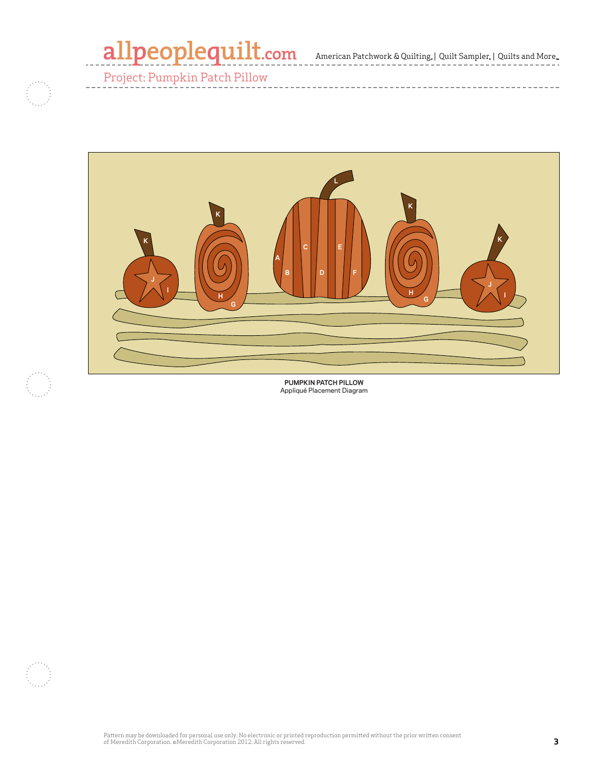American Patchwork & Quilting, | Quilt Sampler, | Quilts and More

-------------





**PUMPKIN PATCH PILLOW** Appliqué Placement Diagram

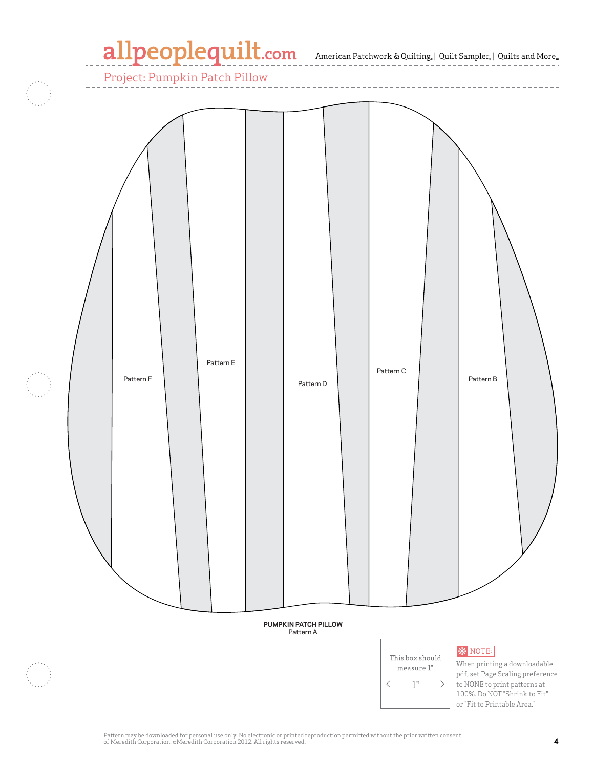# allpeoplequilt.com<br>American Patchwork & Quilting, | Quilt Sampler, | Quilts and More...

Project: Pumpkin Patch Pillow

-----------------------Pattern E Pattern C Pattern F Pattern B Pattern D **PUMPKIN PATCH PILLOW** Pattern A **\*** NOTE: This box should When printing a downloadable measure  $1$ ". pdf, set Page Scaling preference  $-1"$ to NONE to print patterns at  $\rightarrow$ 100%. Do NOT "Shrink to Fit" or "Fit to Printable Area."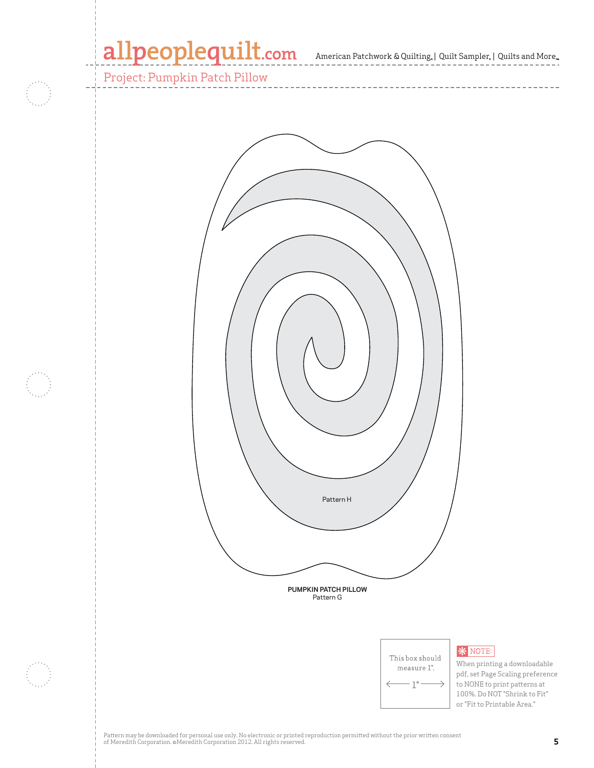## allpeoplequilt.com American Patchwork & Quilting, | Quilt Sampler, | Quilts and More..

 $\cdots\cdots\cdots\cdots\cdots$ 

Project: Pumpkin Patch Pillow





## **\*** NOTE:

When printing a downloadable pdf, set Page Scaling preference to NONE to print patterns at 100%. Do NOT "Shrink to Fit" or "Fit to Printable Area."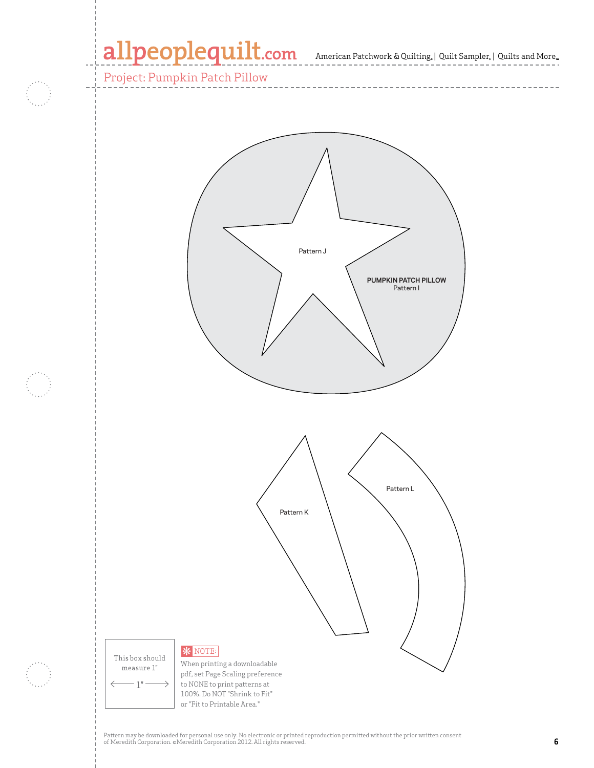## allpeoplequilt.com American Patchwork & Quilting, | Quilt Sampler, | Quilts and More..

Project: Pumpkin Patch Pillow



Pattern may be downloaded for personal use only. No electronic or printed reproduction permitted without the prior written consent of Meredith Corporation. ©Meredith Corporation 2012. All rights reserved. **6**